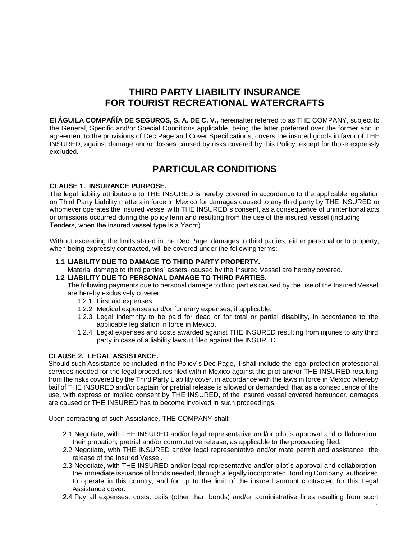# **THIRD PARTY LIABILITY INSURANCE FOR TOURIST RECREATIONAL WATERCRAFTS**

**El ÁGUILA COMPAÑÍA DE SEGUROS, S. A. DE C. V.,** hereinafter referred to as THE COMPANY, subject to the General, Specific and/or Special Conditions applicable, being the latter preferred over the former and in agreement to the provisions of Dec Page and Cover Specifications, covers the insured goods in favor of THE INSURED, against damage and/or losses caused by risks covered by this Policy, except for those expressly excluded.

# **PARTICULAR CONDITIONS**

# **CLAUSE 1. INSURANCE PURPOSE.**

The legal liability attributable to THE INSURED is hereby covered in accordance to the applicable legislation on Third Party Liability matters in force in Mexico for damages caused to any third party by THE INSURED or whomever operates the insured vessel with THE INSURED´s consent, as a consequence of unintentional acts or omissions occurred during the policy term and resulting from the use of the insured vessel (including Tenders, when the insured vessel type is a Yacht).

Without exceeding the limits stated in the Dec Page, damages to third parties, either personal or to property, when being expressly contracted, will be covered under the following terms:

# **1.1 LIABILITY DUE TO DAMAGE TO THIRD PARTY PROPERTY.**

Material damage to third parties´ assets, caused by the Insured Vessel are hereby covered.

# **1.2 LIABILITY DUE TO PERSONAL DAMAGE TO THIRD PARTIES.**

The following payments due to personal damage to third parties caused by the use of the Insured Vessel are hereby exclusively covered:

- 1.2.1 First aid expenses.
- 1.2.2 Medical expenses and/or funerary expenses, if applicable.
- 1.2.3 Legal indemnity to be paid for dead or for total or partial disability, in accordance to the applicable legislation in force in Mexico.
- 1.2.4 Legal expenses and costs awarded against THE INSURED resulting from injuries to any third party in case of a liability lawsuit filed against the INSURED.

# **CLAUSE 2. LEGAL ASSISTANCE.**

Should such Assistance be included in the Policy´s Dec Page, it shall include the legal protection professional services needed for the legal procedures filed within Mexico against the pilot and/or THE INSURED resulting from the risks covered by the Third Party Liability cover, in accordance with the laws in force in Mexico whereby bail of THE INSURED and/or captain for pretrial release is allowed or demanded; that as a consequence of the use, with express or implied consent by THE INSURED, of the insured vessel covered hereunder, damages are caused or THE INSURED has to become involved in such proceedings.

Upon contracting of such Assistance, THE COMPANY shall:

- 2.1 Negotiate, with THE INSURED and/or legal representative and/or pilot´s approval and collaboration, their probation, pretrial and/or commutative release, as applicable to the proceeding filed.
- 2.2 Negotiate, with THE INSURED and/or legal representative and/or mate permit and assistance, the release of the Insured Vessel.
- 2.3 Negotiate, with THE INSURED and/or legal representative and/or pilot´s approval and collaboration, the immediate issuance of bonds needed, through a legally incorporated Bonding Company, authorized to operate in this country, and for up to the limit of the insured amount contracted for this Legal Assistance cover.
- 2.4 Pay all expenses, costs, bails (other than bonds) and/or administrative fines resulting from such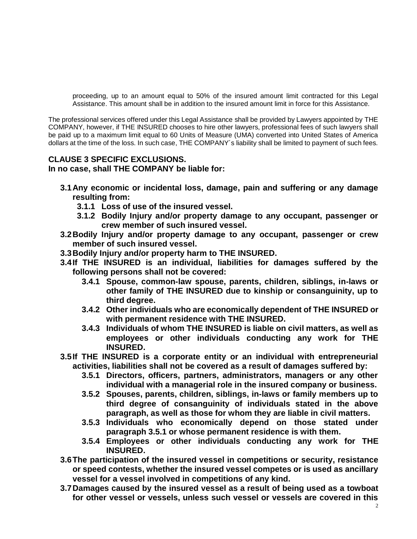proceeding, up to an amount equal to 50% of the insured amount limit contracted for this Legal Assistance. This amount shall be in addition to the insured amount limit in force for this Assistance.

The professional services offered under this Legal Assistance shall be provided by Lawyers appointed by THE COMPANY, however, if THE INSURED chooses to hire other lawyers, professional fees of such lawyers shall be paid up to a maximum limit equal to 60 Units of Measure (UMA) converted into United States of America dollars at the time of the loss. In such case, THE COMPANY´s liability shall be limited to payment of such fees.

# **CLAUSE 3 SPECIFIC EXCLUSIONS.**

**In no case, shall THE COMPANY be liable for:**

- **3.1Any economic or incidental loss, damage, pain and suffering or any damage resulting from:**
	- **3.1.1 Loss of use of the insured vessel.**
	- **3.1.2 Bodily Injury and/or property damage to any occupant, passenger or crew member of such insured vessel.**
- **3.2Bodily Injury and/or property damage to any occupant, passenger or crew member of such insured vessel.**
- **3.3Bodily Injury and/or property harm to THE INSURED.**
- **3.4If THE INSURED is an individual, liabilities for damages suffered by the following persons shall not be covered:**
	- **3.4.1 Spouse, common-law spouse, parents, children, siblings, in-laws or other family of THE INSURED due to kinship or consanguinity, up to third degree.**
	- **3.4.2 Other individuals who are economically dependent of THE INSURED or with permanent residence with THE INSURED.**
	- **3.4.3 Individuals of whom THE INSURED is liable on civil matters, as well as employees or other individuals conducting any work for THE INSURED.**
- **3.5If THE INSURED is a corporate entity or an individual with entrepreneurial activities, liabilities shall not be covered as a result of damages suffered by:**
	- **3.5.1 Directors, officers, partners, administrators, managers or any other individual with a managerial role in the insured company or business.**
	- **3.5.2 Spouses, parents, children, siblings, in-laws or family members up to third degree of consanguinity of individuals stated in the above paragraph, as well as those for whom they are liable in civil matters.**
	- **3.5.3 Individuals who economically depend on those stated under paragraph 3.5.1 or whose permanent residence is with them.**
	- **3.5.4 Employees or other individuals conducting any work for THE INSURED.**
- **3.6The participation of the insured vessel in competitions or security, resistance or speed contests, whether the insured vessel competes or is used as ancillary vessel for a vessel involved in competitions of any kind.**
- **3.7Damages caused by the insured vessel as a result of being used as a towboat for other vessel or vessels, unless such vessel or vessels are covered in this**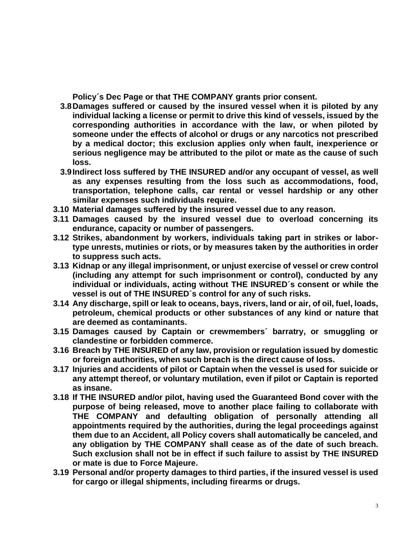**Policy´s Dec Page or that THE COMPANY grants prior consent.**

- **3.8Damages suffered or caused by the insured vessel when it is piloted by any individual lacking a license or permit to drive this kind of vessels, issued by the corresponding authorities in accordance with the law, or when piloted by someone under the effects of alcohol or drugs or any narcotics not prescribed by a medical doctor; this exclusion applies only when fault, inexperience or serious negligence may be attributed to the pilot or mate as the cause of such loss.**
- **3.9Indirect loss suffered by THE INSURED and/or any occupant of vessel, as well as any expenses resulting from the loss such as accommodations, food, transportation, telephone calls, car rental or vessel hardship or any other similar expenses such individuals require.**
- **3.10 Material damages suffered by the insured vessel due to any reason.**
- **3.11 Damages caused by the insured vessel due to overload concerning its endurance, capacity or number of passengers.**
- **3.12 Strikes, abandonment by workers, individuals taking part in strikes or labortype unrests, mutinies or riots, or by measures taken by the authorities in order to suppress such acts.**
- **3.13 Kidnap or any illegal imprisonment, or unjust exercise of vessel or crew control (including any attempt for such imprisonment or control), conducted by any individual or individuals, acting without THE INSURED´s consent or while the vessel is out of THE INSURED´s control for any of such risks.**
- **3.14 Any discharge, spill or leak to oceans, bays, rivers, land or air, of oil, fuel, loads, petroleum, chemical products or other substances of any kind or nature that are deemed as contaminants.**
- **3.15 Damages caused by Captain or crewmembers´ barratry, or smuggling or clandestine or forbidden commerce.**
- **3.16 Breach by THE INSURED of any law, provision or regulation issued by domestic or foreign authorities, when such breach is the direct cause of loss.**
- **3.17 Injuries and accidents of pilot or Captain when the vessel is used for suicide or any attempt thereof, or voluntary mutilation, even if pilot or Captain is reported as insane.**
- **3.18 If THE INSURED and/or pilot, having used the Guaranteed Bond cover with the purpose of being released, move to another place failing to collaborate with THE COMPANY and defaulting obligation of personally attending all appointments required by the authorities, during the legal proceedings against them due to an Accident, all Policy covers shall automatically be canceled, and any obligation by THE COMPANY shall cease as of the date of such breach. Such exclusion shall not be in effect if such failure to assist by THE INSURED or mate is due to Force Majeure.**
- **3.19 Personal and/or property damages to third parties, if the insured vessel is used for cargo or illegal shipments, including firearms or drugs.**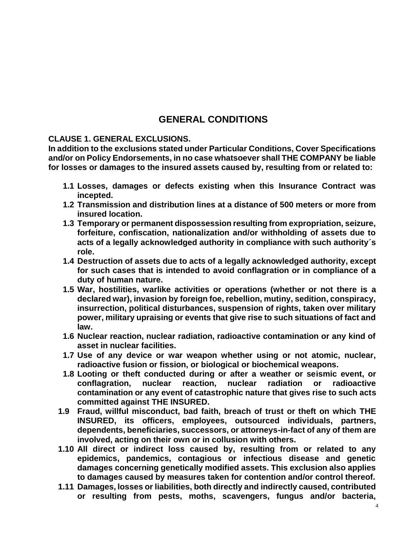# **GENERAL CONDITIONS**

# **CLAUSE 1. GENERAL EXCLUSIONS.**

**In addition to the exclusions stated under Particular Conditions, Cover Specifications and/or on Policy Endorsements, in no case whatsoever shall THE COMPANY be liable for losses or damages to the insured assets caused by, resulting from or related to:**

- **1.1 Losses, damages or defects existing when this Insurance Contract was incepted.**
- **1.2 Transmission and distribution lines at a distance of 500 meters or more from insured location.**
- **1.3 Temporary or permanent dispossession resulting from expropriation, seizure, forfeiture, confiscation, nationalization and/or withholding of assets due to acts of a legally acknowledged authority in compliance with such authority´s role.**
- **1.4 Destruction of assets due to acts of a legally acknowledged authority, except for such cases that is intended to avoid conflagration or in compliance of a duty of human nature.**
- **1.5 War, hostilities, warlike activities or operations (whether or not there is a declared war), invasion by foreign foe, rebellion, mutiny, sedition, conspiracy, insurrection, political disturbances, suspension of rights, taken over military power, military upraising or events that give rise to such situations of fact and law.**
- **1.6 Nuclear reaction, nuclear radiation, radioactive contamination or any kind of asset in nuclear facilities.**
- **1.7 Use of any device or war weapon whether using or not atomic, nuclear, radioactive fusion or fission, or biological or biochemical weapons.**
- **1.8 Looting or theft conducted during or after a weather or seismic event, or conflagration, nuclear reaction, nuclear radiation or radioactive contamination or any event of catastrophic nature that gives rise to such acts committed against THE INSURED.**
- **1.9 Fraud, willful misconduct, bad faith, breach of trust or theft on which THE INSURED, its officers, employees, outsourced individuals, partners, dependents, beneficiaries, successors, or attorneys-in-fact of any of them are involved, acting on their own or in collusion with others.**
- **1.10 All direct or indirect loss caused by, resulting from or related to any epidemics, pandemics, contagious or infectious disease and genetic damages concerning genetically modified assets. This exclusion also applies to damages caused by measures taken for contention and/or control thereof.**
- **1.11 Damages, losses or liabilities, both directly and indirectly caused, contributed or resulting from pests, moths, scavengers, fungus and/or bacteria,**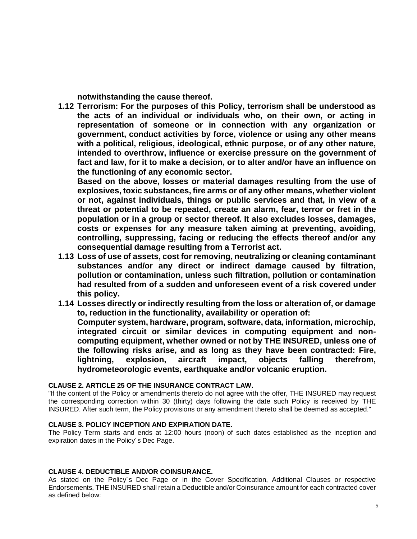**notwithstanding the cause thereof.**

**1.12 Terrorism: For the purposes of this Policy, terrorism shall be understood as the acts of an individual or individuals who, on their own, or acting in representation of someone or in connection with any organization or government, conduct activities by force, violence or using any other means with a political, religious, ideological, ethnic purpose, or of any other nature, intended to overthrow, influence or exercise pressure on the government of fact and law, for it to make a decision, or to alter and/or have an influence on the functioning of any economic sector.**

**Based on the above, losses or material damages resulting from the use of explosives, toxic substances, fire arms or of any other means, whether violent or not, against individuals, things or public services and that, in view of a threat or potential to be repeated, create an alarm, fear, terror or fret in the population or in a group or sector thereof. It also excludes losses, damages, costs or expenses for any measure taken aiming at preventing, avoiding, controlling, suppressing, facing or reducing the effects thereof and/or any consequential damage resulting from a Terrorist act.**

- **1.13 Loss of use of assets, cost for removing, neutralizing or cleaning contaminant substances and/or any direct or indirect damage caused by filtration, pollution or contamination, unless such filtration, pollution or contamination had resulted from of a sudden and unforeseen event of a risk covered under this policy.**
- **1.14 Losses directly or indirectly resulting from the loss or alteration of, or damage to, reduction in the functionality, availability or operation of:**

**Computer system, hardware, program, software, data, information, microchip, integrated circuit or similar devices in computing equipment and noncomputing equipment, whether owned or not by THE INSURED, unless one of the following risks arise, and as long as they have been contracted: Fire, lightning, explosion, aircraft impact, objects falling therefrom, hydrometeorologic events, earthquake and/or volcanic eruption.**

# **CLAUSE 2. ARTICLE 25 OF THE INSURANCE CONTRACT LAW.**

"If the content of the Policy or amendments thereto do not agree with the offer, THE INSURED may request the corresponding correction within 30 (thirty) days following the date such Policy is received by THE INSURED. After such term, the Policy provisions or any amendment thereto shall be deemed as accepted."

# **CLAUSE 3. POLICY INCEPTION AND EXPIRATION DATE.**

The Policy Term starts and ends at 12:00 hours (noon) of such dates established as the inception and expiration dates in the Policy´s Dec Page.

# **CLAUSE 4. DEDUCTIBLE AND/OR COINSURANCE.**

As stated on the Policy´s Dec Page or in the Cover Specification, Additional Clauses or respective Endorsements, THE INSURED shall retain a Deductible and/or Coinsurance amount for each contracted cover as defined below: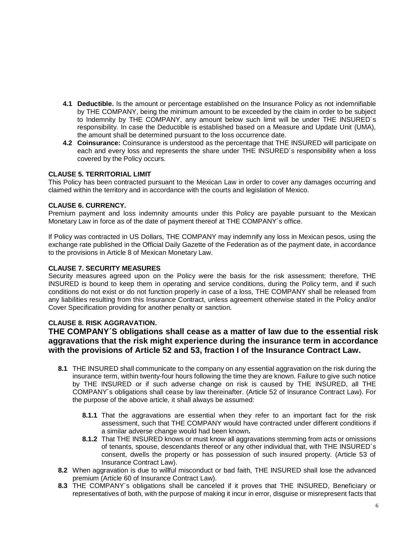- **4.1 Deductible.** Is the amount or percentage established on the Insurance Policy as not indemnifiable by THE COMPANY, being the minimum amount to be exceeded by the claim in order to be subject to Indemnity by THE COMPANY, any amount below such limit will be under THE INSURED´s responsibility. In case the Deductible is established based on a Measure and Update Unit (UMA), the amount shall be determined pursuant to the loss occurrence date.
- **4.2 Coinsurance:** Coinsurance is understood as the percentage that THE INSURED will participate on each and every loss and represents the share under THE INSURED´s responsibility when a loss covered by the Policy occurs.

# **CLAUSE 5. TERRITORIAL LIMIT**

This Policy has been contracted pursuant to the Mexican Law in order to cover any damages occurring and claimed within the territory and in accordance with the courts and legislation of Mexico.

# **CLAUSE 6. CURRENCY.**

Premium payment and loss indemnity amounts under this Policy are payable pursuant to the Mexican Monetary Law in force as of the date of payment thereof at THE COMPANY´s office.

If Policy was contracted in US Dollars, THE COMPANY may indemnify any loss in Mexican pesos, using the exchange rate published in the Official Daily Gazette of the Federation as of the payment date, in accordance to the provisions in Article 8 of Mexican Monetary Law.

#### **CLAUSE 7. SECURITY MEASURES**

Security measures agreed upon on the Policy were the basis for the risk assessment; therefore, THE INSURED is bound to keep them in operating and service conditions, during the Policy term, and if such conditions do not exist or do not function properly in case of a loss, THE COMPANY shall be released from any liabilities resulting from this Insurance Contract, unless agreement otherwise stated in the Policy and/or Cover Specification providing for another penalty or sanction.

# **CLAUSE 8. RISK AGGRAVATION.**

**THE COMPANY´S obligations shall cease as a matter of law due to the essential risk aggravations that the risk might experience during the insurance term in accordance with the provisions of Article 52 and 53, fraction I of the Insurance Contract Law.**

- **8.1** THE INSURED shall communicate to the company on any essential aggravation on the risk during the insurance term, within twenty-four hours following the time they are known. Failure to give such notice by THE INSURED or if such adverse change on risk is caused by THE INSURED, all THE COMPANY´s obligations shall cease by law thereinafter. (Article 52 of Insurance Contract Law). For the purpose of the above article, it shall always be assumed:
	- **8.1.1** That the aggravations are essential when they refer to an important fact for the risk assessment, such that THE COMPANY would have contracted under different conditions if a similar adverse change would had been known**.**
	- **8.1.2** That THE INSURED knows or must know all aggravations stemming from acts or omissions of tenants, spouse, descendants thereof or any other individual that, with THE INSURED´s consent, dwells the property or has possession of such insured property. (Article 53 of Insurance Contract Law).
- **8.2** When aggravation is due to willful misconduct or bad faith, THE INSURED shall lose the advanced premium (Article 60 of Insurance Contract Law).
- **8.3** THE COMPANY´s obligations shall be canceled if it proves that THE INSURED, Beneficiary or representatives of both, with the purpose of making it incur in error, disguise or misrepresent facts that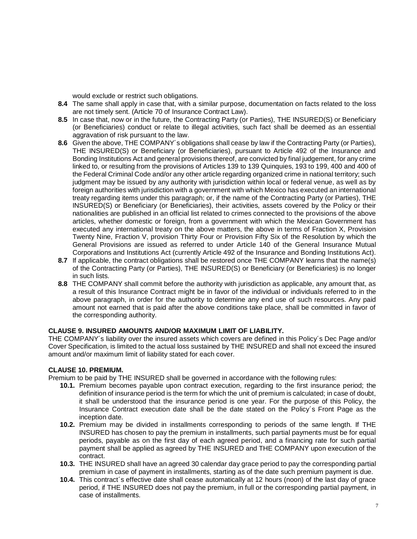would exclude or restrict such obligations.

- **8.4** The same shall apply in case that, with a similar purpose, documentation on facts related to the loss are not timely sent. (Article 70 of Insurance Contract Law).
- **8.5** In case that, now or in the future, the Contracting Party (or Parties), THE INSURED(S) or Beneficiary (or Beneficiaries) conduct or relate to illegal activities, such fact shall be deemed as an essential aggravation of risk pursuant to the law.
- **8.6** Given the above, THE COMPANY´s obligations shall cease by law if the Contracting Party (or Parties), THE INSURED(S) or Beneficiary (or Beneficiaries), pursuant to Article 492 of the Insurance and Bonding Institutions Act and general provisions thereof, are convicted by final judgement, for any crime linked to, or resulting from the provisions of Articles 139 to 139 Quinquies, 193 to 199, 400 and 400 of the Federal Criminal Code and/or any other article regarding organized crime in national territory; such judgment may be issued by any authority with jurisdiction within local or federal venue, as well as by foreign authorities with jurisdiction with a government with which Mexico has executed an international treaty regarding items under this paragraph; or, if the name of the Contracting Party (or Parties), THE INSURED(S) or Beneficiary (or Beneficiaries), their activities, assets covered by the Policy or their nationalities are published in an official list related to crimes connected to the provisions of the above articles, whether domestic or foreign, from a government with which the Mexican Government has executed any international treaty on the above matters, the above in terms of Fraction X, Provision Twenty Nine, Fraction V, provision Thirty Four or Provision Fifty Six of the Resolution by which the General Provisions are issued as referred to under Article 140 of the General Insurance Mutual Corporations and Institutions Act (currently Article 492 of the Insurance and Bonding Institutions Act).
- **8.7** If applicable, the contract obligations shall be restored once THE COMPANY learns that the name(s) of the Contracting Party (or Parties), THE INSURED(S) or Beneficiary (or Beneficiaries) is no longer in such lists.
- **8.8** THE COMPANY shall commit before the authority with jurisdiction as applicable, any amount that, as a result of this Insurance Contract might be in favor of the individual or individuals referred to in the above paragraph, in order for the authority to determine any end use of such resources. Any paid amount not earned that is paid after the above conditions take place, shall be committed in favor of the corresponding authority.

# **CLAUSE 9. INSURED AMOUNTS AND/OR MAXIMUM LIMIT OF LIABILITY.**

THE COMPANY´s liability over the insured assets which covers are defined in this Policy´s Dec Page and/or Cover Specification, is limited to the actual loss sustained by THE INSURED and shall not exceed the insured amount and/or maximum limit of liability stated for each cover.

#### **CLAUSE 10. PREMIUM.**

Premium to be paid by THE INSURED shall be governed in accordance with the following rules:

- **10.1.** Premium becomes payable upon contract execution, regarding to the first insurance period; the definition of insurance period is the term for which the unit of premium is calculated; in case of doubt, it shall be understood that the insurance period is one year. For the purpose of this Policy, the Insurance Contract execution date shall be the date stated on the Policy´s Front Page as the inception date.
- **10.2.** Premium may be divided in installments corresponding to periods of the same length. If THE INSURED has chosen to pay the premium in installments, such partial payments must be for equal periods, payable as on the first day of each agreed period, and a financing rate for such partial payment shall be applied as agreed by THE INSURED and THE COMPANY upon execution of the contract.
- **10.3.** THE INSURED shall have an agreed 30 calendar day grace period to pay the corresponding partial premium in case of payment in installments, starting as of the date such premium payment is due.
- **10.4.** This contract´s effective date shall cease automatically at 12 hours (noon) of the last day of grace period, if THE INSURED does not pay the premium, in full or the corresponding partial payment, in case of installments.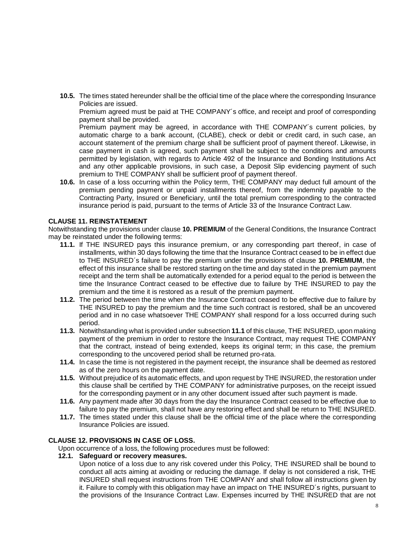**10.5.** The times stated hereunder shall be the official time of the place where the corresponding Insurance Policies are issued.

Premium agreed must be paid at THE COMPANY´s office, and receipt and proof of corresponding payment shall be provided.

Premium payment may be agreed, in accordance with THE COMPANY´s current policies, by automatic charge to a bank account, (CLABE), check or debit or credit card, in such case, an account statement of the premium charge shall be sufficient proof of payment thereof. Likewise, in case payment in cash is agreed, such payment shall be subject to the conditions and amounts permitted by legislation, with regards to Article 492 of the Insurance and Bonding Institutions Act and any other applicable provisions, in such case, a Deposit Slip evidencing payment of such premium to THE COMPANY shall be sufficient proof of payment thereof.

**10.6.** In case of a loss occurring within the Policy term, THE COMPANY may deduct full amount of the premium pending payment or unpaid installments thereof, from the indemnity payable to the Contracting Party, Insured or Beneficiary, until the total premium corresponding to the contracted insurance period is paid, pursuant to the terms of Article 33 of the Insurance Contract Law.

#### **CLAUSE 11. REINSTATEMENT**

Notwithstanding the provisions under clause **10. PREMIUM** of the General Conditions, the Insurance Contract may be reinstated under the following terms:

- **11.1.** If THE INSURED pays this insurance premium, or any corresponding part thereof, in case of installments, within 30 days following the time that the Insurance Contract ceased to be in effect due to THE INSURED´s failure to pay the premium under the provisions of clause **10. PREMIUM**, the effect of this insurance shall be restored starting on the time and day stated in the premium payment receipt and the term shall be automatically extended for a period equal to the period is between the time the Insurance Contract ceased to be effective due to failure by THE INSURED to pay the premium and the time it is restored as a result of the premium payment.
- **11.2.** The period between the time when the Insurance Contract ceased to be effective due to failure by THE INSURED to pay the premium and the time such contract is restored, shall be an uncovered period and in no case whatsoever THE COMPANY shall respond for a loss occurred during such period.
- **11.3.** Notwithstanding what isprovided under subsection **11.1** of this clause, THE INSURED, upon making payment of the premium in order to restore the Insurance Contract, may request THE COMPANY that the contract, instead of being extended, keeps its original term; in this case, the premium corresponding to the uncovered period shall be returned pro-rata.
- **11.4.** In case the time is not registered in the payment receipt, the insurance shall be deemed as restored as of the zero hours on the payment date.
- **11.5.** Without prejudice of its automatic effects, and upon request by THE INSURED, the restoration under this clause shall be certified by THE COMPANY for administrative purposes, on the receipt issued for the corresponding payment or in any other document issued after such payment is made.
- **11.6.** Any payment made after 30 days from the day the Insurance Contract ceased to be effective due to failure to pay the premium, shall not have any restoring effect and shall be return to THE INSURED.
- **11.7.** The times stated under this clause shall be the official time of the place where the corresponding Insurance Policies are issued.

#### **CLAUSE 12. PROVISIONS IN CASE OF LOSS.**

Upon occurrence of a loss, the following procedures must be followed:

#### **12.1. Safeguard or recovery measures.**

Upon notice of a loss due to any risk covered under this Policy, THE INSURED shall be bound to conduct all acts aiming at avoiding or reducing the damage. If delay is not considered a risk, THE INSURED shall request instructions from THE COMPANY and shall follow all instructions given by it. Failure to comply with this obligation may have an impact on THE INSURED´s rights, pursuant to the provisions of the Insurance Contract Law. Expenses incurred by THE INSURED that are not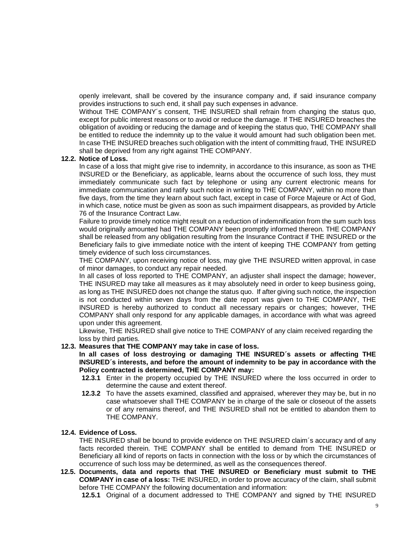openly irrelevant, shall be covered by the insurance company and, if said insurance company provides instructions to such end, it shall pay such expenses in advance.

Without THE COMPANY´s consent, THE INSURED shall refrain from changing the status quo, except for public interest reasons or to avoid or reduce the damage. If THE INSURED breaches the obligation of avoiding or reducing the damage and of keeping the status quo, THE COMPANY shall be entitled to reduce the indemnity up to the value it would amount had such obligation been met. In case THE INSURED breaches such obligation with the intent of committing fraud, THE INSURED shall be deprived from any right against THE COMPANY.

#### **12.2. Notice of Loss.**

In case of a loss that might give rise to indemnity, in accordance to this insurance, as soon as THE INSURED or the Beneficiary, as applicable, learns about the occurrence of such loss, they must immediately communicate such fact by telephone or using any current electronic means for immediate communication and ratify such notice in writing to THE COMPANY, within no more than five days, from the time they learn about such fact, except in case of Force Majeure or Act of God, in which case, notice must be given as soon as such impairment disappears, as provided by Article 76 of the Insurance Contract Law.

Failure to provide timely notice might result on a reduction of indemnification from the sum such loss would originally amounted had THE COMPANY been promptly informed thereon. THE COMPANY shall be released from any obligation resulting from the Insurance Contract if THE INSURED or the Beneficiary fails to give immediate notice with the intent of keeping THE COMPANY from getting timely evidence of such loss circumstances.

THE COMPANY, upon receiving notice of loss, may give THE INSURED written approval, in case of minor damages, to conduct any repair needed.

In all cases of loss reported to THE COMPANY, an adjuster shall inspect the damage; however, THE INSURED may take all measures as it may absolutely need in order to keep business going, as long as THE INSURED does not change the status quo. If after giving such notice, the inspection is not conducted within seven days from the date report was given to THE COMPANY, THE INSURED is hereby authorized to conduct all necessary repairs or changes; however, THE COMPANY shall only respond for any applicable damages, in accordance with what was agreed upon under this agreement.

Likewise, THE INSURED shall give notice to THE COMPANY of any claim received regarding the loss by third parties.

#### **12.3. Measures that THE COMPANY may take in case of loss.**

**In all cases of loss destroying or damaging THE INSURED´s assets or affecting THE INSURED´s interests, and before the amount of indemnity to be pay in accordance with the Policy contracted is determined, THE COMPANY may:**

- **12.3.1** Enter in the property occupied by THE INSURED where the loss occurred in order to determine the cause and extent thereof.
- **12.3.2** To have the assets examined, classified and appraised, wherever they may be, but in no case whatsoever shall THE COMPANY be in charge of the sale or closeout of the assets or of any remains thereof, and THE INSURED shall not be entitled to abandon them to THE COMPANY.

#### **12.4. Evidence of Loss.**

THE INSURED shall be bound to provide evidence on THE INSURED claim´s accuracy and of any facts recorded therein. THE COMPANY shall be entitled to demand from THE INSURED or Beneficiary all kind of reports on facts in connection with the loss or by which the circumstances of occurrence of such loss may be determined, as well as the consequences thereof.

**12.5. Documents, data and reports that THE INSURED or Beneficiary must submit to THE COMPANY in case of a loss:** THE INSURED, in order to prove accuracy of the claim, shall submit before THE COMPANY the following documentation and information:

**12.5.1** Original of a document addressed to THE COMPANY and signed by THE INSURED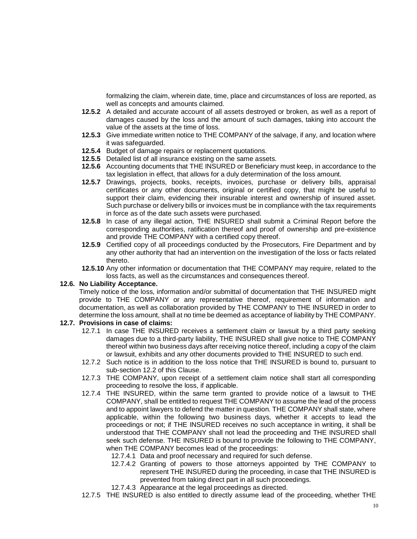formalizing the claim, wherein date, time, place and circumstances of loss are reported, as well as concepts and amounts claimed.

- **12.5.2** A detailed and accurate account of all assets destroyed or broken, as well as a report of damages caused by the loss and the amount of such damages, taking into account the value of the assets at the time of loss.
- **12.5.3** Give immediate written notice to THE COMPANY of the salvage, if any, and location where it was safeguarded.
- **12.5.4** Budget of damage repairs or replacement quotations.
- **12.5.5** Detailed list of all insurance existing on the same assets.
- **12.5.6** Accounting documents that THE INSURED or Beneficiary must keep, in accordance to the tax legislation in effect, that allows for a duly determination of the loss amount.
- **12.5.7** Drawings, projects, books, receipts, invoices, purchase or delivery bills, appraisal certificates or any other documents, original or certified copy, that might be useful to support their claim, evidencing their insurable interest and ownership of insured asset. Such purchase or delivery bills or invoices must be in compliance with the tax requirements in force as of the date such assets were purchased.
- **12.5.8** In case of any illegal action, THE INSURED shall submit a Criminal Report before the corresponding authorities, ratification thereof and proof of ownership and pre-existence and provide THE COMPANY with a certified copy thereof.
- **12.5.9** Certified copy of all proceedings conducted by the Prosecutors, Fire Department and by any other authority that had an intervention on the investigation of the loss or facts related thereto.
- **12.5.10** Any other information or documentation that THE COMPANY may require, related to the loss facts, as well as the circumstances and consequences thereof.

#### **12.6. No Liability Acceptance.**

Timely notice of the loss, information and/or submittal of documentation that THE INSURED might provide to THE COMPANY or any representative thereof, requirement of information and documentation, as well as collaboration provided by THE COMPANY to THE INSURED in order to determine the loss amount, shall at no time be deemed as acceptance of liability by THE COMPANY.

#### **12.7. Provisions in case of claims:**

- 12.7.1 In case THE INSURED receives a settlement claim or lawsuit by a third party seeking damages due to a third-party liability, THE INSURED shall give notice to THE COMPANY thereof within two business days after receiving notice thereof, including a copy of the claim or lawsuit, exhibits and any other documents provided to THE INSURED to such end.
- 12.7.2 Such notice is in addition to the loss notice that THE INSURED is bound to, pursuant to sub-section 12.2 of this Clause.
- 12.7.3 THE COMPANY, upon receipt of a settlement claim notice shall start all corresponding proceeding to resolve the loss, if applicable.
- 12.7.4 THE INSURED, within the same term granted to provide notice of a lawsuit to THE COMPANY, shall be entitled to request THE COMPANY to assume the lead of the process and to appoint lawyers to defend the matter in question. THE COMPANY shall state, where applicable, within the following two business days, whether it accepts to lead the proceedings or not; if THE INSURED receives no such acceptance in writing, it shall be understood that THE COMPANY shall not lead the proceeding and THE INSURED shall seek such defense. THE INSURED is bound to provide the following to THE COMPANY, when THE COMPANY becomes lead of the proceedings:
	- 12.7.4.1 Data and proof necessary and required for such defense.
	- 12.7.4.2 Granting of powers to those attorneys appointed by THE COMPANY to represent THE INSURED during the proceeding, in case that THE INSURED is prevented from taking direct part in all such proceedings.
	- 12.7.4.3 Appearance at the legal proceedings as directed.
- 12.7.5 THE INSURED is also entitled to directly assume lead of the proceeding, whether THE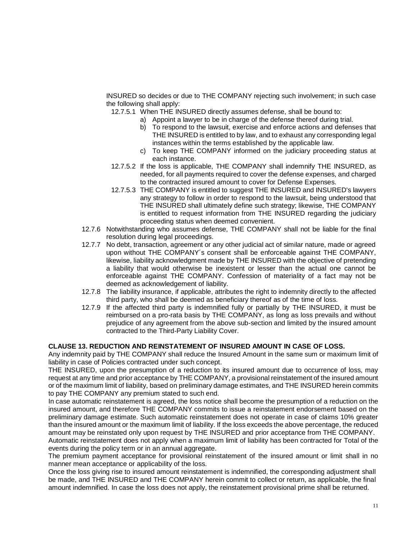INSURED so decides or due to THE COMPANY rejecting such involvement; in such case the following shall apply:

- 12.7.5.1 When THE INSURED directly assumes defense, shall be bound to:
	- a) Appoint a lawyer to be in charge of the defense thereof during trial.
		- b) To respond to the lawsuit, exercise and enforce actions and defenses that THE INSURED is entitled to by law, and to exhaust any corresponding legal instances within the terms established by the applicable law.
	- c) To keep THE COMPANY informed on the judiciary proceeding status at each instance.
- 12.7.5.2 If the loss is applicable, THE COMPANY shall indemnify THE INSURED, as needed, for all payments required to cover the defense expenses, and charged to the contracted insured amount to cover for Defense Expenses.
- 12.7.5.3 THE COMPANY is entitled to suggest THE INSURED and INSURED's lawyers any strategy to follow in order to respond to the lawsuit, being understood that THE INSURED shall ultimately define such strategy; likewise, THE COMPANY is entitled to request information from THE INSURED regarding the judiciary proceeding status when deemed convenient.
- 12.7.6 Notwithstanding who assumes defense, THE COMPANY shall not be liable for the final resolution during legal proceedings.
- 12.7.7 No debt, transaction, agreement or any other judicial act of similar nature, made or agreed upon without THE COMPANY´s consent shall be enforceable against THE COMPANY, likewise, liability acknowledgment made by THE INSURED with the objective of pretending a liability that would otherwise be inexistent or lesser than the actual one cannot be enforceable against THE COMPANY. Confession of materiality of a fact may not be deemed as acknowledgement of liability.
- 12.7.8 The liability insurance, if applicable, attributes the right to indemnity directly to the affected third party, who shall be deemed as beneficiary thereof as of the time of loss.
- 12.7.9 If the affected third party is indemnified fully or partially by THE INSURED, it must be reimbursed on a pro-rata basis by THE COMPANY, as long as loss prevails and without prejudice of any agreement from the above sub-section and limited by the insured amount contracted to the Third-Party Liability Cover.

# **CLAUSE 13. REDUCTION AND REINSTATEMENT OF INSURED AMOUNT IN CASE OF LOSS.**

Any indemnity paid by THE COMPANY shall reduce the Insured Amount in the same sum or maximum limit of liability in case of Policies contracted under such concept.

THE INSURED, upon the presumption of a reduction to its insured amount due to occurrence of loss, may request at any time and prior acceptance by THE COMPANY, a provisional reinstatement of the insured amount or of the maximum limit of liability, based on preliminary damage estimates, and THE INSURED herein commits to pay THE COMPANY any premium stated to such end.

In case automatic reinstatement is agreed, the loss notice shall become the presumption of a reduction on the insured amount, and therefore THE COMPANY commits to issue a reinstatement endorsement based on the preliminary damage estimate. Such automatic reinstatement does not operate in case of claims 10% greater than the insured amount or the maximum limit of liability. If the loss exceeds the above percentage, the reduced amount may be reinstated only upon request by THE INSURED and prior acceptance from THE COMPANY.

Automatic reinstatement does not apply when a maximum limit of liability has been contracted for Total of the events during the policy term or in an annual aggregate.

The premium payment acceptance for provisional reinstatement of the insured amount or limit shall in no manner mean acceptance or applicability of the loss.

Once the loss giving rise to insured amount reinstatement is indemnified, the corresponding adjustment shall be made, and THE INSURED and THE COMPANY herein commit to collect or return, as applicable, the final amount indemnified. In case the loss does not apply, the reinstatement provisional prime shall be returned.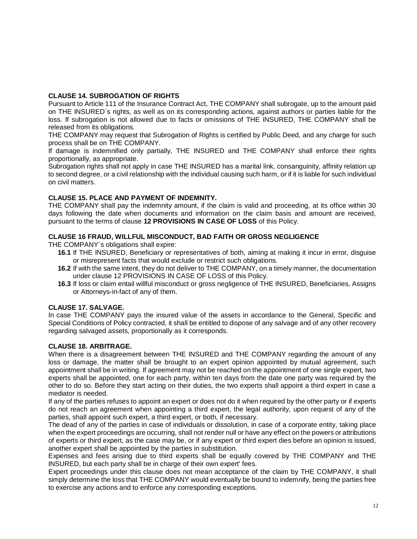# **CLAUSE 14. SUBROGATION OF RIGHTS**

Pursuant to Article 111 of the Insurance Contract Act, THE COMPANY shall subrogate, up to the amount paid on THE INSURED´s rights, as well as on its corresponding actions, against authors or parties liable for the loss. If subrogation is not allowed due to facts or omissions of THE INSURED, THE COMPANY shall be released from its obligations.

THE COMPANY may request that Subrogation of Rights is certified by Public Deed, and any charge for such process shall be on THE COMPANY.

If damage is indemnified only partially, THE INSURED and THE COMPANY shall enforce their rights proportionally, as appropriate.

Subrogation rights shall not apply in case THE INSURED has a marital link, consanguinity, affinity relation up to second degree, or a civil relationship with the individual causing such harm, or if it is liable for such individual on civil matters.

# **CLAUSE 15. PLACE AND PAYMENT OF INDEMNITY.**

THE COMPANY shall pay the indemnity amount, if the claim is valid and proceeding, at its office within 30 days following the date when documents and information on the claim basis and amount are received, pursuant to the terms of clause **12 PROVISIONS IN CASE OF LOSS** of this Policy.

# **CLAUSE 16 FRAUD, WILLFUL MISCONDUCT, BAD FAITH OR GROSS NEGLIGENCE**

THE COMPANY´s obligations shall expire:

- **16.1** If THE INSURED, Beneficiary or representatives of both, aiming at making it incur in error, disguise or misrepresent facts that would exclude or restrict such obligations.
- **16.2** If with the same intent, they do not deliver to THE COMPANY, on a timely manner, the documentation under clause 12 PROVISIONS IN CASE OF LOSS of this Policy.
- **16.3** If loss or claim entail willful misconduct or gross negligence of THE INSURED, Beneficiaries, Assigns or Attorneys-in-fact of any of them.

# **CLAUSE 17. SALVAGE.**

In case THE COMPANY pays the insured value of the assets in accordance to the General, Specific and Special Conditions of Policy contracted, it shall be entitled to dispose of any salvage and of any other recovery regarding salvaged assets, proportionally as it corresponds.

#### **CLAUSE 18. ARBITRAGE.**

When there is a disagreement between THE INSURED and THE COMPANY regarding the amount of any loss or damage, the matter shall be brought to an expert opinion appointed by mutual agreement, such appointment shall be in writing. If agreement may not be reached on the appointment of one single expert, two experts shall be appointed, one for each party, within ten days from the date one party was required by the other to do so. Before they start acting on their duties, the two experts shall appoint a third expert in case a mediator is needed.

If any of the parties refuses to appoint an expert or does not do it when required by the other party or if experts do not reach an agreement when appointing a third expert, the legal authority, upon request of any of the parties, shall appoint such expert, a third expert, or both, if necessary.

The dead of any of the parties in case of individuals or dissolution, in case of a corporate entity, taking place when the expert proceedings are occurring, shall not render null or have any effect on the powers or attributions of experts or third expert, as the case may be, or if any expert or third expert dies before an opinion is issued, another expert shall be appointed by the parties in substitution.

Expenses and fees arising due to third experts shall be equally covered by THE COMPANY and THE INSURED, but each party shall be in charge of their own expert' fees.

Expert proceedings under this clause does not mean acceptance of the claim by THE COMPANY, it shall simply determine the loss that THE COMPANY would eventually be bound to indemnify, being the parties free to exercise any actions and to enforce any corresponding exceptions.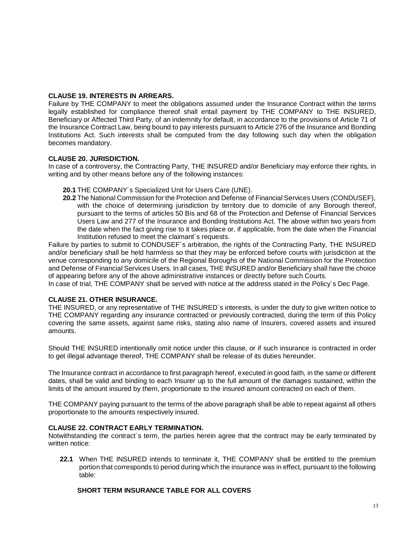# **CLAUSE 19. INTERESTS IN ARREARS.**

Failure by THE COMPANY to meet the obligations assumed under the Insurance Contract within the terms legally established for compliance thereof shall entail payment by THE COMPANY to THE INSURED, Beneficiary or Affected Third Party, of an indemnity for default, in accordance to the provisions of Article 71 of the Insurance Contract Law, being bound to pay interests pursuant to Article 276 of the Insurance and Bonding Institutions Act. Such interests shall be computed from the day following such day when the obligation becomes mandatory.

# **CLAUSE 20. JURISDICTION.**

In case of a controversy, the Contracting Party, THE INSURED and/or Beneficiary may enforce their rights, in writing and by other means before any of the following instances:

- **20.1** THE COMPANY´s Specialized Unit for Users Care (UNE).
- **20.2** The National Commission for the Protection and Defense of Financial Services Users (CONDUSEF), with the choice of determining jurisdiction by territory due to domicile of any Borough thereof, pursuant to the terms of articles 50 Bis and 68 of the Protection and Defense of Financial Services Users Law and 277 of the Insurance and Bonding Institutions Act. The above within two years from the date when the fact giving rise to it takes place or, if applicable, from the date when the Financial Institution refused to meet the claimant´s requests.

Failure by parties to submit to CONDUSEF´s arbitration, the rights of the Contracting Party, THE INSURED and/or beneficiary shall be held harmless so that they may be enforced before courts with jurisdiction at the venue corresponding to any domicile of the Regional Boroughs of the National Commission for the Protection and Defense of Financial Services Users. In all cases, THE INSURED and/or Beneficiary shall have the choice of appearing before any of the above administrative instances or directly before such Courts.

In case of trial, THE COMPANY shall be served with notice at the address stated in the Policy´s Dec Page.

# **CLAUSE 21. OTHER INSURANCE.**

THE INSURED, or any representative of THE INSURED´s interests, is under the duty to give written notice to THE COMPANY regarding any insurance contracted or previously contracted, during the term of this Policy covering the same assets, against same risks, stating also name of Insurers, covered assets and insured amounts.

Should THE INSURED intentionally omit notice under this clause, or if such insurance is contracted in order to get illegal advantage thereof, THE COMPANY shall be release of its duties hereunder.

The Insurance contract in accordance to first paragraph hereof, executed in good faith, in the same or different dates, shall be valid and binding to each Insurer up to the full amount of the damages sustained, within the limits of the amount insured by them, proportionate to the insured amount contracted on each of them.

THE COMPANY paying pursuant to the terms of the above paragraph shall be able to repeat against all others proportionate to the amounts respectively insured.

#### **CLAUSE 22. CONTRACT EARLY TERMINATION.**

Notwithstanding the contract´s term, the parties herein agree that the contract may be early terminated by written notice:

**22.1** When THE INSURED intends to terminate it, THE COMPANY shall be entitled to the premium portion that corresponds to period during which the insurance was in effect, pursuant to the following table:

# **SHORT TERM INSURANCE TABLE FOR ALL COVERS**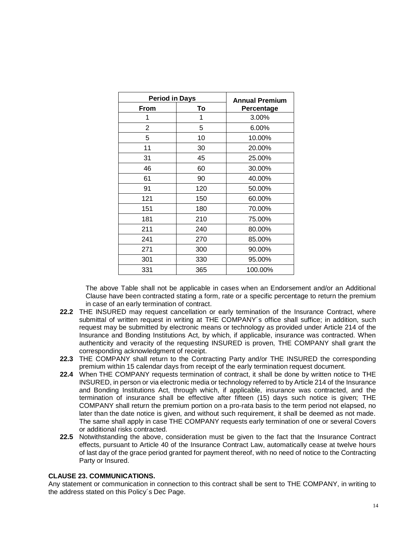| <b>Period in Days</b> |     | <b>Annual Premium</b> |
|-----------------------|-----|-----------------------|
| <b>From</b>           | To  | Percentage            |
| 1                     | 1   | 3.00%                 |
| $\overline{2}$        | 5   | 6.00%                 |
| 5                     | 10  | 10.00%                |
| 11                    | 30  | 20.00%                |
| 31                    | 45  | 25.00%                |
| 46                    | 60  | 30.00%                |
| 61                    | 90  | 40.00%                |
| 91                    | 120 | 50.00%                |
| 121                   | 150 | 60.00%                |
| 151                   | 180 | 70.00%                |
| 181                   | 210 | 75.00%                |
| 211                   | 240 | 80.00%                |
| 241                   | 270 | 85.00%                |
| 271                   | 300 | 90.00%                |
| 301                   | 330 | 95.00%                |
| 331                   | 365 | 100.00%               |

The above Table shall not be applicable in cases when an Endorsement and/or an Additional Clause have been contracted stating a form, rate or a specific percentage to return the premium in case of an early termination of contract.

- **22.2** THE INSURED may request cancellation or early termination of the Insurance Contract, where submittal of written request in writing at THE COMPANY's office shall suffice; in addition, such request may be submitted by electronic means or technology as provided under Article 214 of the Insurance and Bonding Institutions Act, by which, if applicable, insurance was contracted. When authenticity and veracity of the requesting INSURED is proven, THE COMPANY shall grant the corresponding acknowledgment of receipt.
- **22.3** THE COMPANY shall return to the Contracting Party and/or THE INSURED the corresponding premium within 15 calendar days from receipt of the early termination request document.
- **22.4** When THE COMPANY requests termination of contract, it shall be done by written notice to THE INSURED, in person or via electronic media or technology referred to by Article 214 of the Insurance and Bonding Institutions Act, through which, if applicable, insurance was contracted, and the termination of insurance shall be effective after fifteen (15) days such notice is given; THE COMPANY shall return the premium portion on a pro-rata basis to the term period not elapsed, no later than the date notice is given, and without such requirement, it shall be deemed as not made. The same shall apply in case THE COMPANY requests early termination of one or several Covers or additional risks contracted.
- **22.5** Notwithstanding the above, consideration must be given to the fact that the Insurance Contract effects, pursuant to Article 40 of the Insurance Contract Law, automatically cease at twelve hours of last day of the grace period granted for payment thereof, with no need of notice to the Contracting Party or Insured.

#### **CLAUSE 23. COMMUNICATIONS.**

Any statement or communication in connection to this contract shall be sent to THE COMPANY, in writing to the address stated on this Policy´s Dec Page.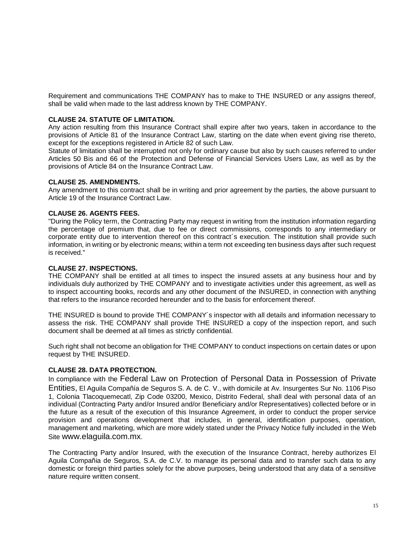Requirement and communications THE COMPANY has to make to THE INSURED or any assigns thereof, shall be valid when made to the last address known by THE COMPANY.

# **CLAUSE 24. STATUTE OF LIMITATION.**

Any action resulting from this Insurance Contract shall expire after two years, taken in accordance to the provisions of Article 81 of the Insurance Contract Law, starting on the date when event giving rise thereto, except for the exceptions registered in Article 82 of such Law.

Statute of limitation shall be interrupted not only for ordinary cause but also by such causes referred to under Articles 50 Bis and 66 of the Protection and Defense of Financial Services Users Law, as well as by the provisions of Article 84 on the Insurance Contract Law.

#### **CLAUSE 25. AMENDMENTS.**

Any amendment to this contract shall be in writing and prior agreement by the parties, the above pursuant to Article 19 of the Insurance Contract Law.

# **CLAUSE 26. AGENTS FEES.**

"During the Policy term, the Contracting Party may request in writing from the institution information regarding the percentage of premium that, due to fee or direct commissions, corresponds to any intermediary or corporate entity due to intervention thereof on this contract´s execution. The institution shall provide such information, in writing or by electronic means; within a term not exceeding ten business days after such request is received."

#### **CLAUSE 27. INSPECTIONS.**

THE COMPANY shall be entitled at all times to inspect the insured assets at any business hour and by individuals duly authorized by THE COMPANY and to investigate activities under this agreement, as well as to inspect accounting books, records and any other document of the INSURED, in connection with anything that refers to the insurance recorded hereunder and to the basis for enforcement thereof.

THE INSURED is bound to provide THE COMPANY´s inspector with all details and information necessary to assess the risk. THE COMPANY shall provide THE INSURED a copy of the inspection report, and such document shall be deemed at all times as strictly confidential.

Such right shall not become an obligation for THE COMPANY to conduct inspections on certain dates or upon request by THE INSURED.

#### **CLAUSE 28. DATA PROTECTION.**

In compliance with the Federal Law on Protection of Personal Data in Possession of Private Entities, El Aguila Compañía de Seguros S. A. de C. V., with domicile at Av. Insurgentes Sur No. 1106 Piso 1, Colonia Tlacoquemecatl, Zip Code 03200, Mexico, Distrito Federal, shall deal with personal data of an individual (Contracting Party and/or Insured and/or Beneficiary and/or Representatives) collected before or in the future as a result of the execution of this Insurance Agreement, in order to conduct the proper service provision and operations development that includes, in general, identification purposes, operation, management and marketing, which are more widely stated under the Privacy Notice fully included in the Web Site [www.elaguila.com.mx](http://www.elaguila.com.mx/).

The Contracting Party and/or Insured, with the execution of the Insurance Contract, hereby authorizes El Aguila Compañia de Seguros, S.A. de C.V. to manage its personal data and to transfer such data to any domestic or foreign third parties solely for the above purposes, being understood that any data of a sensitive nature require written consent.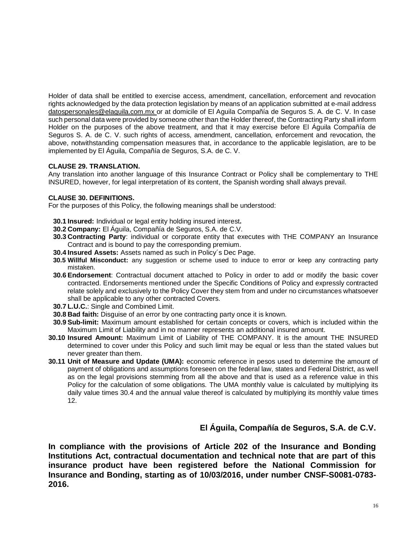Holder of data shall be entitled to exercise access, amendment, cancellation, enforcement and revocation rights acknowledged by the data protection legislation by means of an application submitted at e-mail address [datospersonales@elaguila.com.mx o](mailto:datospersonales@elaguila.com.mx)r at domicile of El Aguila Compañía de Seguros S. A. de C. V. In case such personal data were provided by someone other than the Holder thereof, the Contracting Party shall inform Holder on the purposes of the above treatment, and that it may exercise before El Águila Compañía de Seguros S. A. de C. V. such rights of access, amendment, cancellation, enforcement and revocation, the above, notwithstanding compensation measures that, in accordance to the applicable legislation, are to be implemented by El Águila, Compañía de Seguros, S.A. de C. V.

# **CLAUSE 29. TRANSLATION.**

Any translation into another language of this Insurance Contract or Policy shall be complementary to THE INSURED, however, for legal interpretation of its content, the Spanish wording shall always prevail.

# **CLAUSE 30. DEFINITIONS.**

For the purposes of this Policy, the following meanings shall be understood:

- **30.1Insured:** Individual or legal entity holding insured interest**.**
- **30.2 Company:** El Águila, Compañía de Seguros, S.A. de C.V.
- **30.3 Contracting Party**: individual or corporate entity that executes with THE COMPANY an Insurance Contract and is bound to pay the corresponding premium.
- **30.4Insured Assets:** Assets named as such in Policy´s Dec Page.
- **30.5 Willful Misconduct:** any suggestion or scheme used to induce to error or keep any contracting party mistaken.
- **30.6 Endorsement**: Contractual document attached to Policy in order to add or modify the basic cover contracted. Endorsements mentioned under the Specific Conditions of Policy and expressly contracted relate solely and exclusively to the Policy Cover they stem from and under no circumstances whatsoever shall be applicable to any other contracted Covers.
- **30.7 L.U.C.**: Single and Combined Limit.
- **30.8 Bad faith:** Disguise of an error by one contracting party once it is known.
- **30.9 Sub-limit:** Maximum amount established for certain concepts or covers, which is included within the Maximum Limit of Liability and in no manner represents an additional insured amount.
- **30.10 Insured Amount:** Maximum Limit of Liability of THE COMPANY. It is the amount THE INSURED determined to cover under this Policy and such limit may be equal or less than the stated values but never greater than them.
- **30.11 Unit of Measure and Update (UMA):** economic reference in pesos used to determine the amount of payment of obligations and assumptions foreseen on the federal law, states and Federal District, as well as on the legal provisions stemming from all the above and that is used as a reference value in this Policy for the calculation of some obligations. The UMA monthly value is calculated by multiplying its daily value times 30.4 and the annual value thereof is calculated by multiplying its monthly value times 12.

# **El Águila, Compañía de Seguros, S.A. de C.V.**

**In compliance with the provisions of Article 202 of the Insurance and Bonding Institutions Act, contractual documentation and technical note that are part of this insurance product have been registered before the National Commission for Insurance and Bonding, starting as of 10/03/2016, under number CNSF-S0081-0783- 2016.**